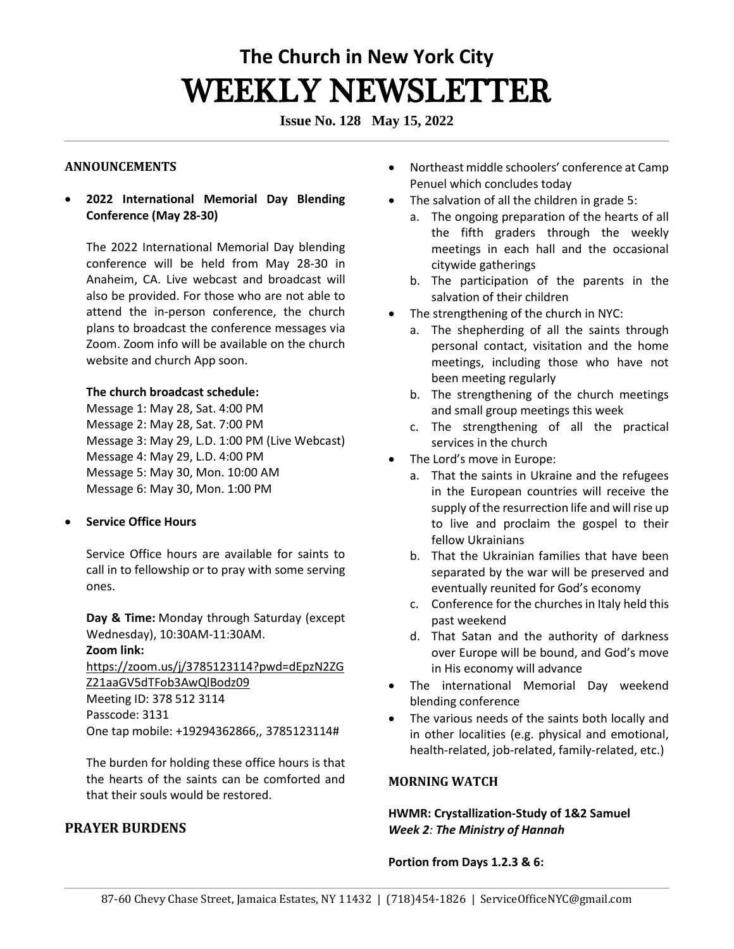# **The Church in New York City** WEEKLY NEWSLETTER

**Issue No. 128 May 15, 2022**

#### **ANNOUNCEMENTS**

• **2022 International Memorial Day Blending Conference (May 28-30)**

The 2022 International Memorial Day blending conference will be held from May 28-30 in Anaheim, CA. Live webcast and broadcast will also be provided. For those who are not able to attend the in-person conference, the church plans to broadcast the conference messages via Zoom. Zoom info will be available on the church website and church App soon.

#### **The church broadcast schedule:**

Message 1: May 28, Sat. 4:00 PM Message 2: May 28, Sat. 7:00 PM Message 3: May 29, L.D. 1:00 PM (Live Webcast) Message 4: May 29, L.D. 4:00 PM Message 5: May 30, Mon. 10:00 AM Message 6: May 30, Mon. 1:00 PM

### • **Service Office Hours**

Service Office hours are available for saints to call in to fellowship or to pray with some serving ones. 

**Day & Time:** Monday through Saturday (except Wednesday), 10:30AM-11:30AM.   **Zoom link:** [https://zoom.us/j/3785123114?pwd=dEpzN2ZG](https://zoom.us/j/3785123114?pwd=dEpzN2ZGZ21aaGV5dTFob3AwQlBodz09) [Z21aaGV5dTFob3AwQlBodz09](https://zoom.us/j/3785123114?pwd=dEpzN2ZGZ21aaGV5dTFob3AwQlBodz09) Meeting ID: 378 512 3114

Passcode: 3131 One tap mobile: +19294362866,, 3785123114#

The burden for holding these office hours is that the hearts of the saints can be comforted and that their souls would be restored. 

## **PRAYER BURDENS**

- Northeast middle schoolers' conference at Camp Penuel which concludes today
- The salvation of all the children in grade 5:
	- a. The ongoing preparation of the hearts of all the fifth graders through the weekly meetings in each hall and the occasional citywide gatherings
	- b. The participation of the parents in the salvation of their children
- The strengthening of the church in NYC:
	- a. The shepherding of all the saints through personal contact, visitation and the home meetings, including those who have not been meeting regularly
	- b. The strengthening of the church meetings and small group meetings this week
	- c. The strengthening of all the practical services in the church
- The Lord's move in Europe:
	- a. That the saints in Ukraine and the refugees in the European countries will receive the supply of the resurrection life and will rise up to live and proclaim the gospel to their fellow Ukrainians
	- b. That the Ukrainian families that have been separated by the war will be preserved and eventually reunited for God's economy
	- c. Conference for the churches in Italy held this past weekend
	- d. That Satan and the authority of darkness over Europe will be bound, and God's move in His economy will advance
- The international Memorial Day weekend blending conference
- The various needs of the saints both locally and in other localities (e.g. physical and emotional, health-related, job-related, family-related, etc.)

## **MORNING WATCH**

**HWMR: Crystallization-Study of 1&2 Samuel**  *Week 2: The Ministry of Hannah*

**Portion from Days 1.2.3 & 6:**